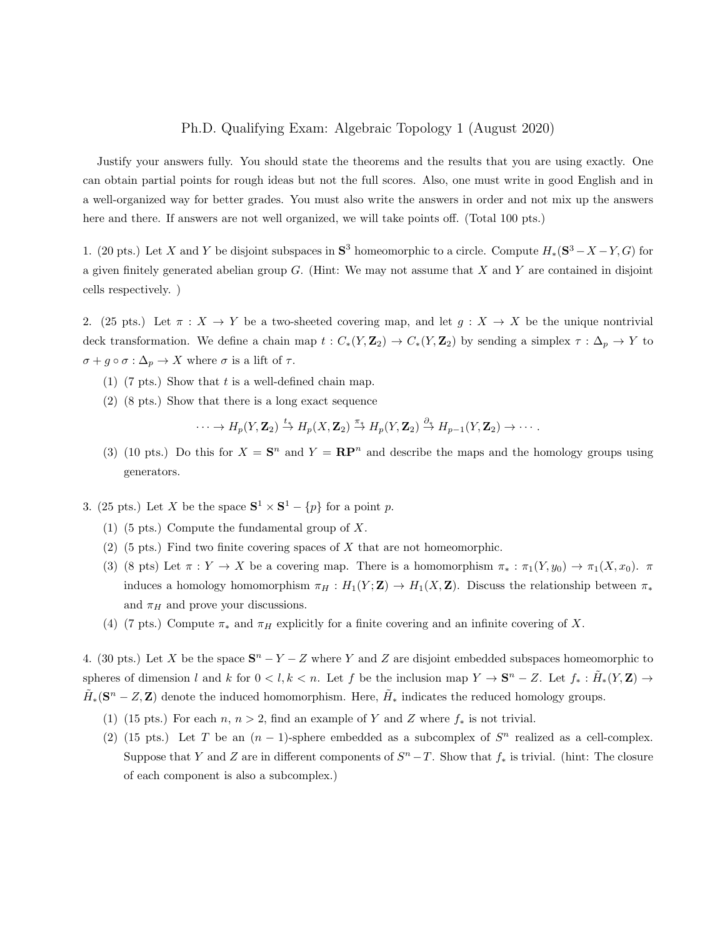#### Ph.D. Qualifying Exam: Algebraic Topology 1 (August 2020)

Justify your answers fully. You should state the theorems and the results that you are using exactly. One can obtain partial points for rough ideas but not the full scores. Also, one must write in good English and in a well-organized way for better grades. You must also write the answers in order and not mix up the answers here and there. If answers are not well organized, we will take points off. (Total 100 pts.)

1. (20 pts.) Let X and Y be disjoint subspaces in  $S^3$  homeomorphic to a circle. Compute  $H_*(S^3 - X - Y, G)$  for a given finitely generated abelian group  $G$ . (Hint: We may not assume that  $X$  and  $Y$  are contained in disjoint cells respectively. )

2. (25 pts.) Let  $\pi : X \to Y$  be a two-sheeted covering map, and let  $g : X \to X$  be the unique nontrivial deck transformation. We define a chain map  $t : C_*(Y, \mathbb{Z}_2) \to C_*(Y, \mathbb{Z}_2)$  by sending a simplex  $\tau : \Delta_p \to Y$  to  $\sigma + g \circ \sigma : \Delta_p \to X$  where  $\sigma$  is a lift of  $\tau$ .

- (1) (7 pts.) Show that  $t$  is a well-defined chain map.
- (2) (8 pts.) Show that there is a long exact sequence

 $\cdots \to H_p(Y,{\bf Z}_2) \stackrel{t_*}{\to} H_p(X,{\bf Z}_2) \stackrel{\pi_*}{\to} H_p(Y,{\bf Z}_2) \stackrel{\partial_*}{\to} H_{p-1}(Y,{\bf Z}_2) \to \cdots.$ 

- (3) (10 pts.) Do this for  $X = S^n$  and  $Y = \mathbb{RP}^n$  and describe the maps and the homology groups using generators.
- 3. (25 pts.) Let X be the space  $S^1 \times S^1 \{p\}$  for a point p.
	- (1) (5 pts.) Compute the fundamental group of X.
	- $(2)$  (5 pts.) Find two finite covering spaces of X that are not homeomorphic.
	- (3) (8 pts) Let  $\pi : Y \to X$  be a covering map. There is a homomorphism  $\pi_* : \pi_1(Y, y_0) \to \pi_1(X, x_0)$ .  $\pi$ induces a homology homomorphism  $\pi_H : H_1(Y; \mathbf{Z}) \to H_1(X, \mathbf{Z})$ . Discuss the relationship between  $\pi_*$ and  $\pi_H$  and prove your discussions.
	- (4) (7 pts.) Compute  $\pi_*$  and  $\pi_H$  explicitly for a finite covering and an infinite covering of X.

4. (30 pts.) Let X be the space  $S<sup>n</sup> - Y - Z$  where Y and Z are disjoint embedded subspaces homeomorphic to spheres of dimension l and k for  $0 < l, k < n$ . Let f be the inclusion map  $Y \to \mathbf{S}^n - Z$ . Let  $f_* : \tilde{H}_*(Y, \mathbf{Z}) \to$  $\tilde{H}_*(\mathbf{S}^n - Z, \mathbf{Z})$  denote the induced homomorphism. Here,  $\tilde{H}_*$  indicates the reduced homology groups.

- (1) (15 pts.) For each  $n, n > 2$ , find an example of Y and Z where  $f_*$  is not trivial.
- (2) (15 pts.) Let T be an  $(n-1)$ -sphere embedded as a subcomplex of  $S<sup>n</sup>$  realized as a cell-complex. Suppose that Y and Z are in different components of  $S<sup>n</sup> - T$ . Show that  $f_*$  is trivial. (hint: The closure of each component is also a subcomplex.)